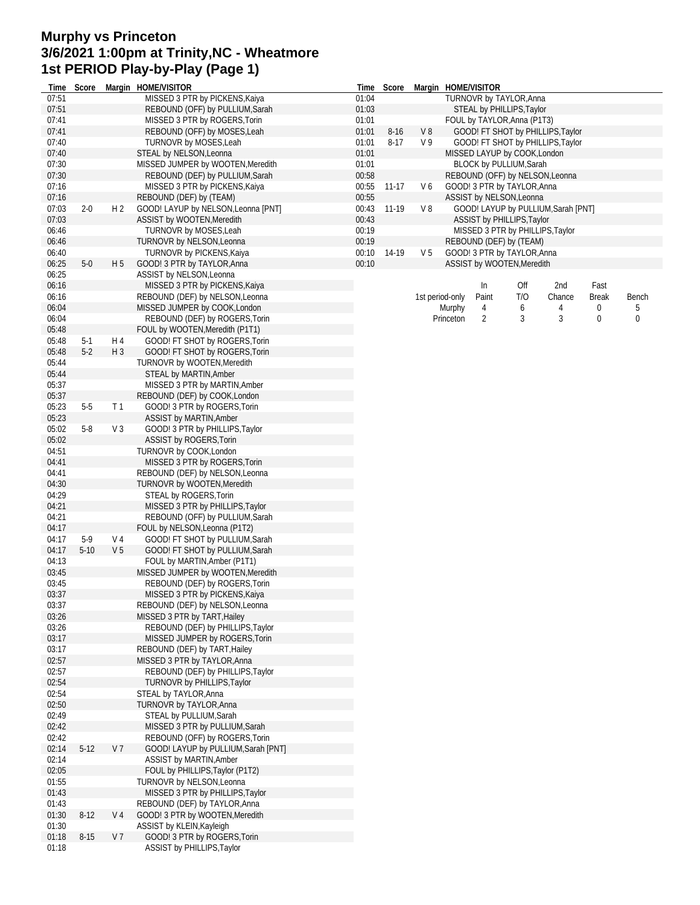## **Murphy vs Princeton 3/6/2021 1:00pm at Trinity,NC - Wheatmore 1st PERIOD Play-by-Play (Page 1)**

| Time           | Score    |                | Margin HOME/VISITOR                                              |                | Time Score |                | Margin HOME/VISITOR                                                |  |  |  |  |  |  |  |
|----------------|----------|----------------|------------------------------------------------------------------|----------------|------------|----------------|--------------------------------------------------------------------|--|--|--|--|--|--|--|
| 07:51          |          |                | MISSED 3 PTR by PICKENS, Kaiya                                   | 01:04          |            |                | TURNOVR by TAYLOR, Anna                                            |  |  |  |  |  |  |  |
| 07:51          |          |                | REBOUND (OFF) by PULLIUM, Sarah                                  | 01:03          |            |                | STEAL by PHILLIPS, Taylor                                          |  |  |  |  |  |  |  |
| 07:41          |          |                | MISSED 3 PTR by ROGERS, Torin                                    | 01:01          |            |                | FOUL by TAYLOR, Anna (P1T3)                                        |  |  |  |  |  |  |  |
| 07:41          |          |                | REBOUND (OFF) by MOSES, Leah                                     | 01:01          | $8 - 16$   | V8             | GOOD! FT SHOT by PHILLIPS, Taylor                                  |  |  |  |  |  |  |  |
| 07:40          |          |                | TURNOVR by MOSES, Leah                                           | 01:01          | $8 - 17$   | V <sub>9</sub> | GOOD! FT SHOT by PHILLIPS, Taylor                                  |  |  |  |  |  |  |  |
| 07:40<br>07:30 |          |                | STEAL by NELSON, Leonna<br>MISSED JUMPER by WOOTEN, Meredith     | 01:01<br>01:01 |            |                | MISSED LAYUP by COOK, London                                       |  |  |  |  |  |  |  |
| 07:30          |          |                | REBOUND (DEF) by PULLIUM, Sarah                                  | 00:58          |            |                | BLOCK by PULLIUM, Sarah<br>REBOUND (OFF) by NELSON, Leonna         |  |  |  |  |  |  |  |
| 07:16          |          |                | MISSED 3 PTR by PICKENS, Kaiya                                   | 00:55          | $11-17$    | V6             | GOOD! 3 PTR by TAYLOR, Anna                                        |  |  |  |  |  |  |  |
| 07:16          |          |                | REBOUND (DEF) by (TEAM)                                          | 00:55          |            |                | ASSIST by NELSON, Leonna                                           |  |  |  |  |  |  |  |
| 07:03          | $2 - 0$  | H <sub>2</sub> | GOOD! LAYUP by NELSON, Leonna [PNT]                              | 00:43          | 11-19      | V8             | GOOD! LAYUP by PULLIUM, Sarah [PNT]                                |  |  |  |  |  |  |  |
| 07:03          |          |                | ASSIST by WOOTEN, Meredith                                       | 00:43          |            |                | ASSIST by PHILLIPS, Taylor                                         |  |  |  |  |  |  |  |
| 06:46          |          |                | TURNOVR by MOSES, Leah                                           | 00:19          |            |                | MISSED 3 PTR by PHILLIPS, Taylor                                   |  |  |  |  |  |  |  |
| 06:46          |          |                | TURNOVR by NELSON, Leonna                                        | 00:19          |            |                | REBOUND (DEF) by (TEAM)                                            |  |  |  |  |  |  |  |
| 06:40          |          |                | TURNOVR by PICKENS, Kaiya                                        | 00:10          | 14-19      | V <sub>5</sub> | GOOD! 3 PTR by TAYLOR, Anna                                        |  |  |  |  |  |  |  |
| 06:25          | $5-0$    | H <sub>5</sub> | GOOD! 3 PTR by TAYLOR, Anna                                      | 00:10          |            |                | ASSIST by WOOTEN, Meredith                                         |  |  |  |  |  |  |  |
| 06:25          |          |                | ASSIST by NELSON, Leonna                                         |                |            |                |                                                                    |  |  |  |  |  |  |  |
| 06:16          |          |                | MISSED 3 PTR by PICKENS, Kaiya                                   |                |            |                | In<br>Off<br>2nd<br>Fast                                           |  |  |  |  |  |  |  |
| 06:16          |          |                | REBOUND (DEF) by NELSON, Leonna                                  |                |            |                | T/O<br>1st period-only<br>Paint<br>Chance<br><b>Break</b><br>Bench |  |  |  |  |  |  |  |
| 06:04          |          |                | MISSED JUMPER by COOK, London                                    |                |            |                | Murphy<br>4<br>6<br>4<br>0<br>5                                    |  |  |  |  |  |  |  |
| 06:04          |          |                | REBOUND (DEF) by ROGERS, Torin                                   |                |            |                | 3<br>2<br>3<br>0<br>0<br>Princeton                                 |  |  |  |  |  |  |  |
| 05:48          |          |                | FOUL by WOOTEN, Meredith (P1T1)                                  |                |            |                |                                                                    |  |  |  |  |  |  |  |
| 05:48          | $5-1$    | H 4            | GOOD! FT SHOT by ROGERS, Torin                                   |                |            |                |                                                                    |  |  |  |  |  |  |  |
| 05:48          | $5-2$    | $H_3$          | GOOD! FT SHOT by ROGERS, Torin                                   |                |            |                |                                                                    |  |  |  |  |  |  |  |
| 05:44          |          |                | TURNOVR by WOOTEN, Meredith                                      |                |            |                |                                                                    |  |  |  |  |  |  |  |
| 05:44          |          |                | STEAL by MARTIN, Amber                                           |                |            |                |                                                                    |  |  |  |  |  |  |  |
| 05:37<br>05:37 |          |                | MISSED 3 PTR by MARTIN, Amber<br>REBOUND (DEF) by COOK, London   |                |            |                |                                                                    |  |  |  |  |  |  |  |
| 05:23          | $5-5$    | T <sub>1</sub> | GOOD! 3 PTR by ROGERS, Torin                                     |                |            |                |                                                                    |  |  |  |  |  |  |  |
| 05:23          |          |                | ASSIST by MARTIN, Amber                                          |                |            |                |                                                                    |  |  |  |  |  |  |  |
| 05:02          | $5 - 8$  | V <sub>3</sub> | GOOD! 3 PTR by PHILLIPS, Taylor                                  |                |            |                |                                                                    |  |  |  |  |  |  |  |
| 05:02          |          |                | ASSIST by ROGERS, Torin                                          |                |            |                |                                                                    |  |  |  |  |  |  |  |
| 04:51          |          |                | TURNOVR by COOK, London                                          |                |            |                |                                                                    |  |  |  |  |  |  |  |
| 04:41          |          |                | MISSED 3 PTR by ROGERS, Torin                                    |                |            |                |                                                                    |  |  |  |  |  |  |  |
| 04:41          |          |                | REBOUND (DEF) by NELSON, Leonna                                  |                |            |                |                                                                    |  |  |  |  |  |  |  |
| 04:30          |          |                | TURNOVR by WOOTEN, Meredith                                      |                |            |                |                                                                    |  |  |  |  |  |  |  |
| 04:29          |          |                | STEAL by ROGERS, Torin                                           |                |            |                |                                                                    |  |  |  |  |  |  |  |
| 04:21          |          |                | MISSED 3 PTR by PHILLIPS, Taylor                                 |                |            |                |                                                                    |  |  |  |  |  |  |  |
| 04:21          |          |                | REBOUND (OFF) by PULLIUM, Sarah                                  |                |            |                |                                                                    |  |  |  |  |  |  |  |
| 04:17          |          |                | FOUL by NELSON, Leonna (P1T2)                                    |                |            |                |                                                                    |  |  |  |  |  |  |  |
| 04:17          | $5-9$    | V 4            | GOOD! FT SHOT by PULLIUM, Sarah                                  |                |            |                |                                                                    |  |  |  |  |  |  |  |
| 04:17          | $5 - 10$ | V <sub>5</sub> | GOOD! FT SHOT by PULLIUM, Sarah                                  |                |            |                |                                                                    |  |  |  |  |  |  |  |
| 04:13          |          |                | FOUL by MARTIN, Amber (P1T1)                                     |                |            |                |                                                                    |  |  |  |  |  |  |  |
| 03:45          |          |                | MISSED JUMPER by WOOTEN, Meredith                                |                |            |                |                                                                    |  |  |  |  |  |  |  |
| 03:45          |          |                | REBOUND (DEF) by ROGERS, Torin<br>MISSED 3 PTR by PICKENS, Kaiya |                |            |                |                                                                    |  |  |  |  |  |  |  |
| 03:37<br>03:37 |          |                | REBOUND (DEF) by NELSON, Leonna                                  |                |            |                |                                                                    |  |  |  |  |  |  |  |
| 03:26          |          |                | MISSED 3 PTR by TART, Hailey                                     |                |            |                |                                                                    |  |  |  |  |  |  |  |
| 03:26          |          |                | REBOUND (DEF) by PHILLIPS, Taylor                                |                |            |                |                                                                    |  |  |  |  |  |  |  |
| 03:17          |          |                | MISSED JUMPER by ROGERS, Torin                                   |                |            |                |                                                                    |  |  |  |  |  |  |  |
| 03:17          |          |                | REBOUND (DEF) by TART, Hailey                                    |                |            |                |                                                                    |  |  |  |  |  |  |  |
| 02:57          |          |                | MISSED 3 PTR by TAYLOR, Anna                                     |                |            |                |                                                                    |  |  |  |  |  |  |  |
| 02:57          |          |                | REBOUND (DEF) by PHILLIPS, Taylor                                |                |            |                |                                                                    |  |  |  |  |  |  |  |
| 02:54          |          |                | TURNOVR by PHILLIPS, Taylor                                      |                |            |                |                                                                    |  |  |  |  |  |  |  |
| 02:54          |          |                | STEAL by TAYLOR, Anna                                            |                |            |                |                                                                    |  |  |  |  |  |  |  |
| 02:50          |          |                | TURNOVR by TAYLOR, Anna                                          |                |            |                |                                                                    |  |  |  |  |  |  |  |
| 02:49          |          |                | STEAL by PULLIUM, Sarah                                          |                |            |                |                                                                    |  |  |  |  |  |  |  |
| 02:42          |          |                | MISSED 3 PTR by PULLIUM, Sarah                                   |                |            |                |                                                                    |  |  |  |  |  |  |  |
| 02:42          |          |                | REBOUND (OFF) by ROGERS, Torin                                   |                |            |                |                                                                    |  |  |  |  |  |  |  |
| 02:14          | $5-12$   | V <sub>7</sub> | GOOD! LAYUP by PULLIUM, Sarah [PNT]                              |                |            |                |                                                                    |  |  |  |  |  |  |  |
| 02:14          |          |                | ASSIST by MARTIN, Amber                                          |                |            |                |                                                                    |  |  |  |  |  |  |  |
| 02:05          |          |                | FOUL by PHILLIPS, Taylor (P1T2)                                  |                |            |                |                                                                    |  |  |  |  |  |  |  |
| 01:55<br>01:43 |          |                | TURNOVR by NELSON, Leonna<br>MISSED 3 PTR by PHILLIPS, Taylor    |                |            |                |                                                                    |  |  |  |  |  |  |  |
| 01:43          |          |                | REBOUND (DEF) by TAYLOR, Anna                                    |                |            |                |                                                                    |  |  |  |  |  |  |  |
| 01:30          | $8-12$   | V 4            | GOOD! 3 PTR by WOOTEN, Meredith                                  |                |            |                |                                                                    |  |  |  |  |  |  |  |
| 01:30          |          |                | ASSIST by KLEIN, Kayleigh                                        |                |            |                |                                                                    |  |  |  |  |  |  |  |
| 01:18          | $8 - 15$ | V 7            | GOOD! 3 PTR by ROGERS, Torin                                     |                |            |                |                                                                    |  |  |  |  |  |  |  |
| 01:18          |          |                | ASSIST by PHILLIPS, Taylor                                       |                |            |                |                                                                    |  |  |  |  |  |  |  |
|                |          |                |                                                                  |                |            |                |                                                                    |  |  |  |  |  |  |  |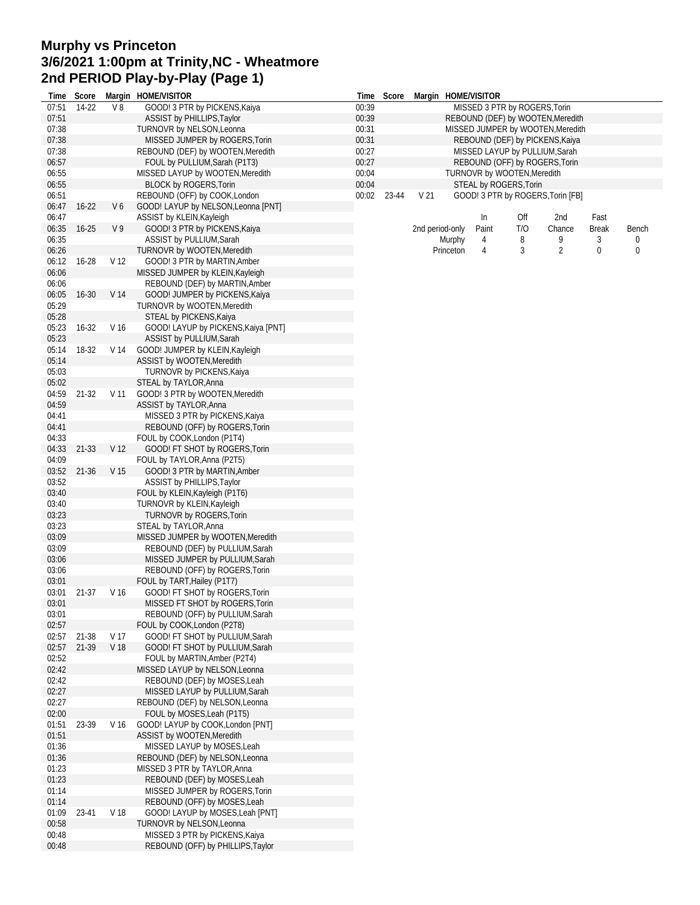## **Murphy vs Princeton 3/6/2021 1:00pm at Trinity,NC - Wheatmore 2nd PERIOD Play-by-Play (Page 1)**

| Time           | Score          |                         | Margin HOME/VISITOR                                                | Time  | Score |                 |           | Margin HOME/VISITOR         |     |                                   |              |       |
|----------------|----------------|-------------------------|--------------------------------------------------------------------|-------|-------|-----------------|-----------|-----------------------------|-----|-----------------------------------|--------------|-------|
| 07:51          | 14-22          | V8                      | GOOD! 3 PTR by PICKENS, Kaiya                                      | 00:39 |       |                 |           |                             |     | MISSED 3 PTR by ROGERS, Torin     |              |       |
| 07:51          |                |                         | ASSIST by PHILLIPS, Taylor                                         | 00:39 |       |                 |           |                             |     | REBOUND (DEF) by WOOTEN, Meredith |              |       |
| 07:38          |                |                         | TURNOVR by NELSON, Leonna                                          | 00:31 |       |                 |           |                             |     | MISSED JUMPER by WOOTEN, Meredith |              |       |
| 07:38          |                |                         | MISSED JUMPER by ROGERS, Torin                                     | 00:31 |       |                 |           |                             |     | REBOUND (DEF) by PICKENS, Kaiya   |              |       |
| 07:38          |                |                         | REBOUND (DEF) by WOOTEN, Meredith                                  | 00:27 |       |                 |           |                             |     | MISSED LAYUP by PULLIUM, Sarah    |              |       |
| 06:57          |                |                         | FOUL by PULLIUM, Sarah (P1T3)                                      | 00:27 |       |                 |           |                             |     | REBOUND (OFF) by ROGERS, Torin    |              |       |
| 06:55          |                |                         | MISSED LAYUP by WOOTEN, Meredith                                   | 00:04 |       |                 |           | TURNOVR by WOOTEN, Meredith |     |                                   |              |       |
| 06:55          |                |                         | <b>BLOCK by ROGERS, Torin</b>                                      | 00:04 |       |                 |           | STEAL by ROGERS, Torin      |     |                                   |              |       |
| 06:51<br>06:47 | $16 - 22$      |                         | REBOUND (OFF) by COOK, London                                      | 00:02 | 23-44 | V <sub>21</sub> |           |                             |     | GOOD! 3 PTR by ROGERS, Torin [FB] |              |       |
| 06:47          |                | V6                      | GOOD! LAYUP by NELSON, Leonna [PNT]<br>ASSIST by KLEIN, Kayleigh   |       |       |                 |           | In                          | Off | 2nd                               | Fast         |       |
| 06:35          | $16 - 25$      | V9                      | GOOD! 3 PTR by PICKENS, Kaiya                                      |       |       | 2nd period-only |           | Paint                       | T/O | Chance                            | <b>Break</b> | Bench |
| 06:35          |                |                         | <b>ASSIST by PULLIUM, Sarah</b>                                    |       |       |                 | Murphy    | 4                           | 8   | 9                                 | 3            | 0     |
| 06:26          |                |                         | TURNOVR by WOOTEN, Meredith                                        |       |       |                 | Princeton | 4                           | 3   | $\overline{2}$                    | 0            | 0     |
| 06:12          | 16-28          | V <sub>12</sub>         | GOOD! 3 PTR by MARTIN, Amber                                       |       |       |                 |           |                             |     |                                   |              |       |
| 06:06          |                |                         | MISSED JUMPER by KLEIN, Kayleigh                                   |       |       |                 |           |                             |     |                                   |              |       |
| 06:06          |                |                         | REBOUND (DEF) by MARTIN, Amber                                     |       |       |                 |           |                             |     |                                   |              |       |
| 06:05          | $16 - 30$      | V 14                    | GOOD! JUMPER by PICKENS, Kaiya                                     |       |       |                 |           |                             |     |                                   |              |       |
| 05:29          |                |                         | TURNOVR by WOOTEN, Meredith                                        |       |       |                 |           |                             |     |                                   |              |       |
| 05:28          |                |                         | STEAL by PICKENS, Kaiya                                            |       |       |                 |           |                             |     |                                   |              |       |
| 05:23          | 16-32          | V <sub>16</sub>         | GOOD! LAYUP by PICKENS, Kaiya [PNT]                                |       |       |                 |           |                             |     |                                   |              |       |
| 05:23          |                |                         | ASSIST by PULLIUM, Sarah                                           |       |       |                 |           |                             |     |                                   |              |       |
| 05:14          | 18-32          | V 14                    | GOOD! JUMPER by KLEIN, Kayleigh                                    |       |       |                 |           |                             |     |                                   |              |       |
| 05:14          |                |                         | ASSIST by WOOTEN, Meredith                                         |       |       |                 |           |                             |     |                                   |              |       |
| 05:03          |                |                         | TURNOVR by PICKENS, Kaiya                                          |       |       |                 |           |                             |     |                                   |              |       |
| 05:02          |                |                         | STEAL by TAYLOR, Anna                                              |       |       |                 |           |                             |     |                                   |              |       |
| 04:59          | 21-32          | V <sub>11</sub>         | GOOD! 3 PTR by WOOTEN, Meredith                                    |       |       |                 |           |                             |     |                                   |              |       |
| 04:59          |                |                         | ASSIST by TAYLOR, Anna                                             |       |       |                 |           |                             |     |                                   |              |       |
| 04:41          |                |                         | MISSED 3 PTR by PICKENS, Kaiya                                     |       |       |                 |           |                             |     |                                   |              |       |
| 04:41          |                |                         | REBOUND (OFF) by ROGERS, Torin                                     |       |       |                 |           |                             |     |                                   |              |       |
| 04:33          |                |                         | FOUL by COOK, London (P1T4)                                        |       |       |                 |           |                             |     |                                   |              |       |
| 04:33<br>04:09 | 21-33          | V <sub>12</sub>         | GOOD! FT SHOT by ROGERS, Torin                                     |       |       |                 |           |                             |     |                                   |              |       |
| 03:52          | $21 - 36$      | V <sub>15</sub>         | FOUL by TAYLOR, Anna (P2T5)<br>GOOD! 3 PTR by MARTIN, Amber        |       |       |                 |           |                             |     |                                   |              |       |
| 03:52          |                |                         | <b>ASSIST by PHILLIPS, Taylor</b>                                  |       |       |                 |           |                             |     |                                   |              |       |
| 03:40          |                |                         | FOUL by KLEIN, Kayleigh (P1T6)                                     |       |       |                 |           |                             |     |                                   |              |       |
| 03:40          |                |                         | TURNOVR by KLEIN, Kayleigh                                         |       |       |                 |           |                             |     |                                   |              |       |
| 03:23          |                |                         | TURNOVR by ROGERS, Torin                                           |       |       |                 |           |                             |     |                                   |              |       |
| 03:23          |                |                         | STEAL by TAYLOR, Anna                                              |       |       |                 |           |                             |     |                                   |              |       |
| 03:09          |                |                         | MISSED JUMPER by WOOTEN, Meredith                                  |       |       |                 |           |                             |     |                                   |              |       |
| 03:09          |                |                         | REBOUND (DEF) by PULLIUM, Sarah                                    |       |       |                 |           |                             |     |                                   |              |       |
| 03:06          |                |                         | MISSED JUMPER by PULLIUM, Sarah                                    |       |       |                 |           |                             |     |                                   |              |       |
| 03:06          |                |                         | REBOUND (OFF) by ROGERS, Torin                                     |       |       |                 |           |                             |     |                                   |              |       |
| 03:01          |                |                         | FOUL by TART, Hailey (P1T7)                                        |       |       |                 |           |                             |     |                                   |              |       |
| 03:01          | 21-37          | V 16                    | GOOD! FT SHOT by ROGERS, Torin                                     |       |       |                 |           |                             |     |                                   |              |       |
| 03:01          |                |                         | MISSED FT SHOT by ROGERS, Torin                                    |       |       |                 |           |                             |     |                                   |              |       |
| 03:01          |                |                         | REBOUND (OFF) by PULLIUM, Sarah                                    |       |       |                 |           |                             |     |                                   |              |       |
| 02:57          |                |                         | FOUL by COOK, London (P2T8)                                        |       |       |                 |           |                             |     |                                   |              |       |
| 02:57<br>02:57 | 21-38<br>21-39 | V 17<br>V <sub>18</sub> | GOOD! FT SHOT by PULLIUM, Sarah<br>GOOD! FT SHOT by PULLIUM, Sarah |       |       |                 |           |                             |     |                                   |              |       |
| 02:52          |                |                         | FOUL by MARTIN, Amber (P2T4)                                       |       |       |                 |           |                             |     |                                   |              |       |
| 02:42          |                |                         | MISSED LAYUP by NELSON, Leonna                                     |       |       |                 |           |                             |     |                                   |              |       |
| 02:42          |                |                         | REBOUND (DEF) by MOSES, Leah                                       |       |       |                 |           |                             |     |                                   |              |       |
| 02:27          |                |                         | MISSED LAYUP by PULLIUM, Sarah                                     |       |       |                 |           |                             |     |                                   |              |       |
| 02:27          |                |                         | REBOUND (DEF) by NELSON, Leonna                                    |       |       |                 |           |                             |     |                                   |              |       |
| 02:00          |                |                         | FOUL by MOSES, Leah (P1T5)                                         |       |       |                 |           |                             |     |                                   |              |       |
| 01:51          | 23-39          | V 16                    | GOOD! LAYUP by COOK, London [PNT]                                  |       |       |                 |           |                             |     |                                   |              |       |
| 01:51          |                |                         | ASSIST by WOOTEN, Meredith                                         |       |       |                 |           |                             |     |                                   |              |       |
| 01:36          |                |                         | MISSED LAYUP by MOSES, Leah                                        |       |       |                 |           |                             |     |                                   |              |       |
| 01:36          |                |                         | REBOUND (DEF) by NELSON, Leonna                                    |       |       |                 |           |                             |     |                                   |              |       |
| 01:23          |                |                         | MISSED 3 PTR by TAYLOR, Anna                                       |       |       |                 |           |                             |     |                                   |              |       |
| 01:23          |                |                         | REBOUND (DEF) by MOSES, Leah                                       |       |       |                 |           |                             |     |                                   |              |       |
| 01:14          |                |                         | MISSED JUMPER by ROGERS, Torin                                     |       |       |                 |           |                             |     |                                   |              |       |
| 01:14          |                |                         | REBOUND (OFF) by MOSES, Leah                                       |       |       |                 |           |                             |     |                                   |              |       |
| 01:09          | 23-41          | V 18                    | GOOD! LAYUP by MOSES, Leah [PNT]                                   |       |       |                 |           |                             |     |                                   |              |       |
| 00:58<br>00:48 |                |                         | TURNOVR by NELSON, Leonna<br>MISSED 3 PTR by PICKENS, Kaiya        |       |       |                 |           |                             |     |                                   |              |       |
| 00:48          |                |                         | REBOUND (OFF) by PHILLIPS, Taylor                                  |       |       |                 |           |                             |     |                                   |              |       |
|                |                |                         |                                                                    |       |       |                 |           |                             |     |                                   |              |       |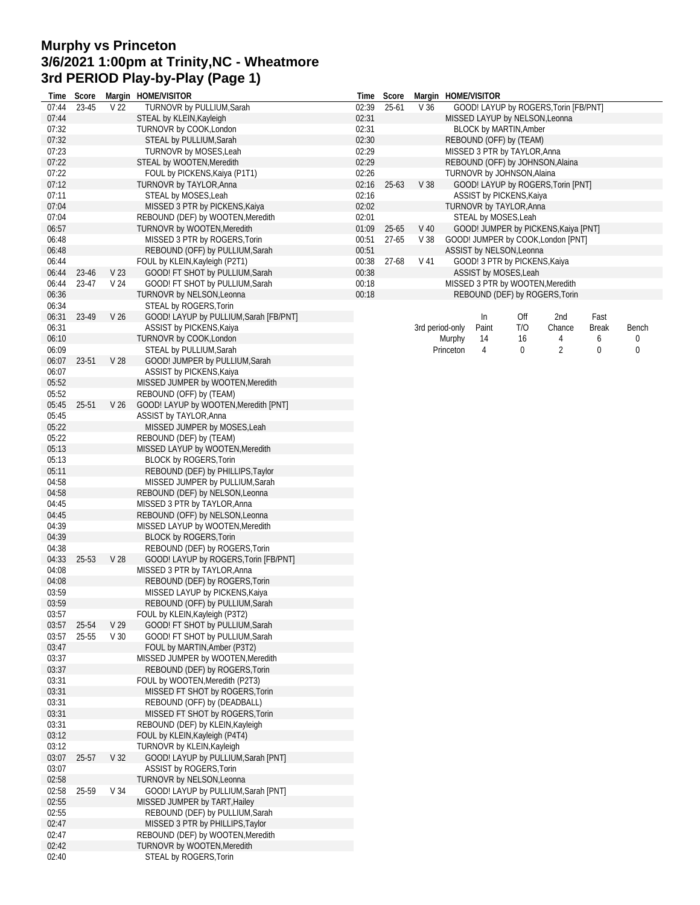## **Murphy vs Princeton 3/6/2021 1:00pm at Trinity,NC - Wheatmore 3rd PERIOD Play-by-Play (Page 1)**

| Time  | Score |                 | Margin HOME/VISITOR                                             | Time  | Score     |                 |                                                           | Margin HOME/VISITOR |                                |                                       |       |       |  |  |
|-------|-------|-----------------|-----------------------------------------------------------------|-------|-----------|-----------------|-----------------------------------------------------------|---------------------|--------------------------------|---------------------------------------|-------|-------|--|--|
| 07:44 | 23-45 | V <sub>22</sub> | TURNOVR by PULLIUM, Sarah                                       | 02:39 | $25 - 61$ | V <sub>36</sub> |                                                           |                     |                                | GOOD! LAYUP by ROGERS, Torin [FB/PNT] |       |       |  |  |
| 07:44 |       |                 | STEAL by KLEIN, Kayleigh                                        | 02:31 |           |                 |                                                           |                     | MISSED LAYUP by NELSON, Leonna |                                       |       |       |  |  |
| 07:32 |       |                 | TURNOVR by COOK, London                                         | 02:31 |           |                 |                                                           |                     | <b>BLOCK by MARTIN, Amber</b>  |                                       |       |       |  |  |
| 07:32 |       |                 | STEAL by PULLIUM, Sarah                                         | 02:30 |           |                 |                                                           |                     | REBOUND (OFF) by (TEAM)        |                                       |       |       |  |  |
| 07:23 |       |                 | <b>TURNOVR by MOSES, Leah</b>                                   | 02:29 |           |                 |                                                           |                     | MISSED 3 PTR by TAYLOR, Anna   |                                       |       |       |  |  |
| 07:22 |       |                 | STEAL by WOOTEN, Meredith                                       | 02:29 |           |                 |                                                           |                     |                                | REBOUND (OFF) by JOHNSON, Alaina      |       |       |  |  |
| 07:22 |       |                 | FOUL by PICKENS, Kaiya (P1T1)                                   | 02:26 |           |                 |                                                           |                     | TURNOVR by JOHNSON, Alaina     |                                       |       |       |  |  |
| 07:12 |       |                 | TURNOVR by TAYLOR, Anna                                         | 02:16 | $25 - 63$ | V <sub>38</sub> |                                                           |                     |                                | GOOD! LAYUP by ROGERS, Torin [PNT]    |       |       |  |  |
| 07:11 |       |                 | STEAL by MOSES, Leah                                            | 02:16 |           |                 |                                                           |                     | ASSIST by PICKENS, Kaiya       |                                       |       |       |  |  |
| 07:04 |       |                 | MISSED 3 PTR by PICKENS, Kaiya                                  | 02:02 |           |                 |                                                           |                     | TURNOVR by TAYLOR, Anna        |                                       |       |       |  |  |
| 07:04 |       |                 | REBOUND (DEF) by WOOTEN, Meredith                               | 02:01 |           |                 |                                                           |                     | STEAL by MOSES, Leah           |                                       |       |       |  |  |
| 06:57 |       |                 | TURNOVR by WOOTEN, Meredith                                     | 01:09 | $25 - 65$ | $V$ 40          |                                                           |                     |                                | GOOD! JUMPER by PICKENS, Kaiya [PNT]  |       |       |  |  |
| 06:48 |       |                 | MISSED 3 PTR by ROGERS, Torin                                   | 00:51 | $27 - 65$ | V <sub>38</sub> |                                                           |                     |                                | GOOD! JUMPER by COOK, London [PNT]    |       |       |  |  |
| 06:48 |       |                 | REBOUND (OFF) by PULLIUM, Sarah                                 | 00:51 |           |                 |                                                           |                     | ASSIST by NELSON, Leonna       |                                       |       |       |  |  |
|       |       |                 |                                                                 |       | $27 - 68$ | V <sub>41</sub> |                                                           |                     |                                |                                       |       |       |  |  |
| 06:44 |       |                 | FOUL by KLEIN, Kayleigh (P2T1)                                  | 00:38 |           |                 |                                                           |                     | GOOD! 3 PTR by PICKENS, Kaiya  |                                       |       |       |  |  |
| 06:44 | 23-46 | V <sub>23</sub> | GOOD! FT SHOT by PULLIUM, Sarah                                 | 00:38 |           |                 | ASSIST by MOSES, Leah<br>MISSED 3 PTR by WOOTEN, Meredith |                     |                                |                                       |       |       |  |  |
| 06:44 | 23-47 | V <sub>24</sub> | GOOD! FT SHOT by PULLIUM, Sarah                                 | 00:18 |           |                 |                                                           |                     |                                |                                       |       |       |  |  |
| 06:36 |       |                 | TURNOVR by NELSON, Leonna                                       | 00:18 |           |                 |                                                           |                     |                                | REBOUND (DEF) by ROGERS, Torin        |       |       |  |  |
| 06:34 |       |                 | STEAL by ROGERS, Torin                                          |       |           |                 |                                                           |                     |                                |                                       |       |       |  |  |
| 06:31 | 23-49 | V <sub>26</sub> | GOOD! LAYUP by PULLIUM, Sarah [FB/PNT]                          |       |           |                 |                                                           | ln                  | Off                            | 2nd                                   | Fast  |       |  |  |
| 06:31 |       |                 | ASSIST by PICKENS, Kaiya                                        |       |           |                 | 3rd period-only                                           | Paint               | T/O                            | Chance                                | Break | Bench |  |  |
| 06:10 |       |                 | TURNOVR by COOK, London                                         |       |           |                 | Murphy                                                    | 14                  | 16                             | 4                                     | 6     | 0     |  |  |
| 06:09 |       |                 | STEAL by PULLIUM, Sarah                                         |       |           |                 | Princeton                                                 | 4                   | 0                              | $\overline{2}$                        | 0     | 0     |  |  |
| 06:07 | 23-51 | V 28            | GOOD! JUMPER by PULLIUM, Sarah                                  |       |           |                 |                                                           |                     |                                |                                       |       |       |  |  |
| 06:07 |       |                 | ASSIST by PICKENS, Kaiya                                        |       |           |                 |                                                           |                     |                                |                                       |       |       |  |  |
| 05:52 |       |                 | MISSED JUMPER by WOOTEN, Meredith                               |       |           |                 |                                                           |                     |                                |                                       |       |       |  |  |
| 05:52 |       |                 | REBOUND (OFF) by (TEAM)                                         |       |           |                 |                                                           |                     |                                |                                       |       |       |  |  |
| 05:45 | 25-51 | V <sub>26</sub> | GOOD! LAYUP by WOOTEN, Meredith [PNT]                           |       |           |                 |                                                           |                     |                                |                                       |       |       |  |  |
| 05:45 |       |                 | ASSIST by TAYLOR, Anna                                          |       |           |                 |                                                           |                     |                                |                                       |       |       |  |  |
| 05:22 |       |                 | MISSED JUMPER by MOSES, Leah                                    |       |           |                 |                                                           |                     |                                |                                       |       |       |  |  |
|       |       |                 |                                                                 |       |           |                 |                                                           |                     |                                |                                       |       |       |  |  |
| 05:22 |       |                 | REBOUND (DEF) by (TEAM)                                         |       |           |                 |                                                           |                     |                                |                                       |       |       |  |  |
| 05:13 |       |                 | MISSED LAYUP by WOOTEN, Meredith                                |       |           |                 |                                                           |                     |                                |                                       |       |       |  |  |
| 05:13 |       |                 | <b>BLOCK by ROGERS, Torin</b>                                   |       |           |                 |                                                           |                     |                                |                                       |       |       |  |  |
| 05:11 |       |                 | REBOUND (DEF) by PHILLIPS, Taylor                               |       |           |                 |                                                           |                     |                                |                                       |       |       |  |  |
| 04:58 |       |                 | MISSED JUMPER by PULLIUM, Sarah                                 |       |           |                 |                                                           |                     |                                |                                       |       |       |  |  |
| 04:58 |       |                 | REBOUND (DEF) by NELSON, Leonna                                 |       |           |                 |                                                           |                     |                                |                                       |       |       |  |  |
| 04:45 |       |                 | MISSED 3 PTR by TAYLOR, Anna                                    |       |           |                 |                                                           |                     |                                |                                       |       |       |  |  |
| 04:45 |       |                 | REBOUND (OFF) by NELSON, Leonna                                 |       |           |                 |                                                           |                     |                                |                                       |       |       |  |  |
| 04:39 |       |                 | MISSED LAYUP by WOOTEN, Meredith                                |       |           |                 |                                                           |                     |                                |                                       |       |       |  |  |
| 04:39 |       |                 | <b>BLOCK by ROGERS, Torin</b>                                   |       |           |                 |                                                           |                     |                                |                                       |       |       |  |  |
| 04:38 |       |                 | REBOUND (DEF) by ROGERS, Torin                                  |       |           |                 |                                                           |                     |                                |                                       |       |       |  |  |
| 04:33 | 25-53 | V <sub>28</sub> | GOOD! LAYUP by ROGERS, Torin [FB/PNT]                           |       |           |                 |                                                           |                     |                                |                                       |       |       |  |  |
| 04:08 |       |                 | MISSED 3 PTR by TAYLOR, Anna                                    |       |           |                 |                                                           |                     |                                |                                       |       |       |  |  |
| 04:08 |       |                 | REBOUND (DEF) by ROGERS, Torin                                  |       |           |                 |                                                           |                     |                                |                                       |       |       |  |  |
| 03:59 |       |                 | MISSED LAYUP by PICKENS, Kaiya                                  |       |           |                 |                                                           |                     |                                |                                       |       |       |  |  |
| 03:59 |       |                 | REBOUND (OFF) by PULLIUM, Sarah                                 |       |           |                 |                                                           |                     |                                |                                       |       |       |  |  |
| 03:57 |       |                 | FOUL by KLEIN, Kayleigh (P3T2)                                  |       |           |                 |                                                           |                     |                                |                                       |       |       |  |  |
| 03:57 | 25-54 | V <sub>29</sub> | GOOD! FT SHOT by PULLIUM, Sarah                                 |       |           |                 |                                                           |                     |                                |                                       |       |       |  |  |
|       |       |                 |                                                                 |       |           |                 |                                                           |                     |                                |                                       |       |       |  |  |
| 03:57 | 25-55 | V <sub>30</sub> | GOOD! FT SHOT by PULLIUM, Sarah<br>FOUL by MARTIN, Amber (P3T2) |       |           |                 |                                                           |                     |                                |                                       |       |       |  |  |
| 03:47 |       |                 | MISSED JUMPER by WOOTEN, Meredith                               |       |           |                 |                                                           |                     |                                |                                       |       |       |  |  |
| 03:37 |       |                 |                                                                 |       |           |                 |                                                           |                     |                                |                                       |       |       |  |  |
| 03:37 |       |                 | REBOUND (DEF) by ROGERS, Torin                                  |       |           |                 |                                                           |                     |                                |                                       |       |       |  |  |
| 03:31 |       |                 | FOUL by WOOTEN, Meredith (P2T3)                                 |       |           |                 |                                                           |                     |                                |                                       |       |       |  |  |
| 03:31 |       |                 | MISSED FT SHOT by ROGERS, Torin                                 |       |           |                 |                                                           |                     |                                |                                       |       |       |  |  |
| 03:31 |       |                 | REBOUND (OFF) by (DEADBALL)                                     |       |           |                 |                                                           |                     |                                |                                       |       |       |  |  |
| 03:31 |       |                 | MISSED FT SHOT by ROGERS, Torin                                 |       |           |                 |                                                           |                     |                                |                                       |       |       |  |  |
| 03:31 |       |                 | REBOUND (DEF) by KLEIN, Kayleigh                                |       |           |                 |                                                           |                     |                                |                                       |       |       |  |  |
| 03:12 |       |                 | FOUL by KLEIN, Kayleigh (P4T4)                                  |       |           |                 |                                                           |                     |                                |                                       |       |       |  |  |
| 03:12 |       |                 | TURNOVR by KLEIN, Kayleigh                                      |       |           |                 |                                                           |                     |                                |                                       |       |       |  |  |
| 03:07 | 25-57 | V 32            | GOOD! LAYUP by PULLIUM, Sarah [PNT]                             |       |           |                 |                                                           |                     |                                |                                       |       |       |  |  |
| 03:07 |       |                 | ASSIST by ROGERS, Torin                                         |       |           |                 |                                                           |                     |                                |                                       |       |       |  |  |
| 02:58 |       |                 | TURNOVR by NELSON, Leonna                                       |       |           |                 |                                                           |                     |                                |                                       |       |       |  |  |
| 02:58 | 25-59 | V 34            | GOOD! LAYUP by PULLIUM, Sarah [PNT]                             |       |           |                 |                                                           |                     |                                |                                       |       |       |  |  |
| 02:55 |       |                 | MISSED JUMPER by TART, Hailey                                   |       |           |                 |                                                           |                     |                                |                                       |       |       |  |  |
| 02:55 |       |                 | REBOUND (DEF) by PULLIUM, Sarah                                 |       |           |                 |                                                           |                     |                                |                                       |       |       |  |  |
| 02:47 |       |                 | MISSED 3 PTR by PHILLIPS, Taylor                                |       |           |                 |                                                           |                     |                                |                                       |       |       |  |  |
| 02:47 |       |                 | REBOUND (DEF) by WOOTEN, Meredith                               |       |           |                 |                                                           |                     |                                |                                       |       |       |  |  |
|       |       |                 |                                                                 |       |           |                 |                                                           |                     |                                |                                       |       |       |  |  |
| 02:42 |       |                 | TURNOVR by WOOTEN, Meredith                                     |       |           |                 |                                                           |                     |                                |                                       |       |       |  |  |
| 02:40 |       |                 | STEAL by ROGERS, Torin                                          |       |           |                 |                                                           |                     |                                |                                       |       |       |  |  |